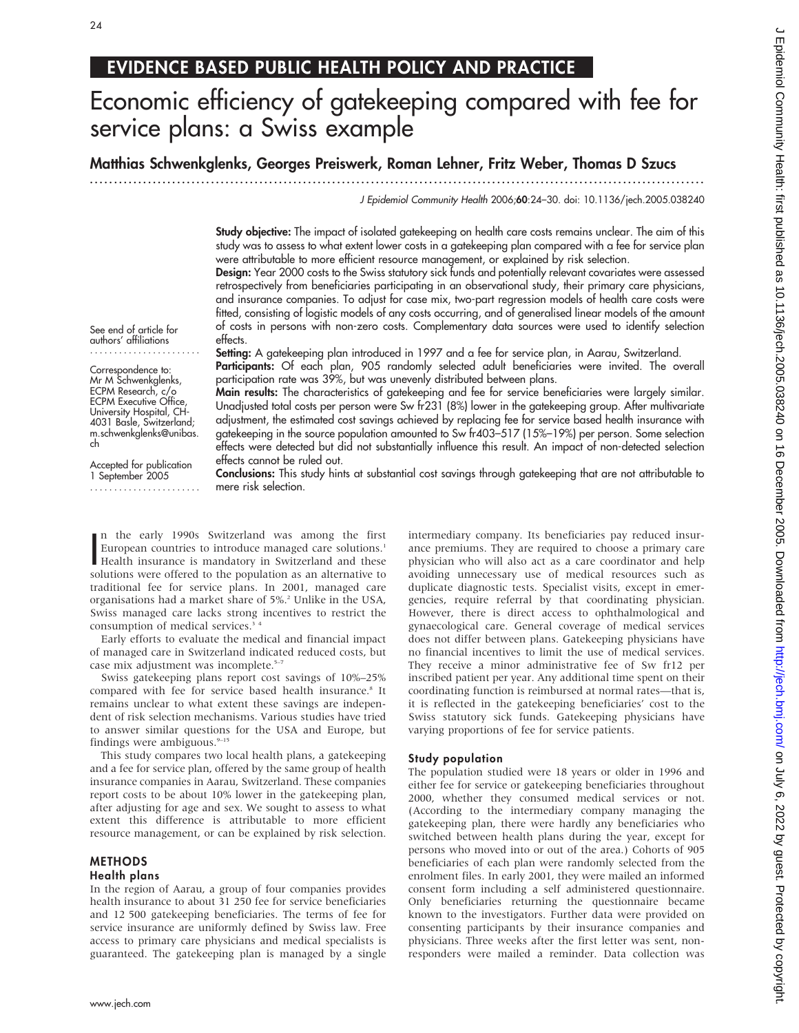# EVIDENCE BASED PUBLIC HEALTH POLICY AND PRACTICE

# Economic efficiency of gatekeeping compared with fee for service plans: a Swiss example

# Matthias Schwenkglenks, Georges Preiswerk, Roman Lehner, Fritz Weber, Thomas D Szucs

...............................................................................................................................

J Epidemiol Community Health 2006;60:24–30. doi: 10.1136/jech.2005.038240

Study objective: The impact of isolated gatekeeping on health care costs remains unclear. The aim of this study was to assess to what extent lower costs in a gatekeeping plan compared with a fee for service plan were attributable to more efficient resource management, or explained by risk selection.

Design: Year 2000 costs to the Swiss statutory sick funds and potentially relevant covariates were assessed retrospectively from beneficiaries participating in an observational study, their primary care physicians, and insurance companies. To adjust for case mix, two-part regression models of health care costs were fitted, consisting of logistic models of any costs occurring, and of generalised linear models of the amount of costs in persons with non-zero costs. Complementary data sources were used to identify selection effects.

Setting: A gatekeeping plan introduced in 1997 and a fee for service plan, in Aarau, Switzerland.

Participants: Of each plan, 905 randomly selected adult beneficiaries were invited. The overall participation rate was 39%, but was unevenly distributed between plans.

Main results: The characteristics of gatekeeping and fee for service beneficiaries were largely similar. Unadjusted total costs per person were Sw fr231 (8%) lower in the gatekeeping group. After multivariate adjustment, the estimated cost savings achieved by replacing fee for service based health insurance with gatekeeping in the source population amounted to Sw fr403–517 (15%–19%) per person. Some selection effects were detected but did not substantially influence this result. An impact of non-detected selection effects cannot be ruled out.

See end of article for authors' affiliations .......................

Correspondence to: Mr M Schwenkglenks, ECPM Research, c/o ECPM Executive Office, University Hospital, CH-4031 Basle, Switzerland; m.schwenkglenks@unibas. ch

Accepted for publication 1 September 2005

.......................

Conclusions: This study hints at substantial cost savings through gatekeeping that are not attributable to mere risk selection.

In the early 1990s Switzerland was among the first<br>European countries to introduce managed care solutions.<sup>1</sup><br>Health insurance is mandatory in Switzerland and these<br>solutions were offered to the population as an alternativ n the early 1990s Switzerland was among the first European countries to introduce managed care solutions.<sup>1</sup> solutions were offered to the population as an alternative to traditional fee for service plans. In 2001, managed care organisations had a market share of 5%.2 Unlike in the USA, Swiss managed care lacks strong incentives to restrict the consumption of medical services.<sup>3</sup>

Early efforts to evaluate the medical and financial impact of managed care in Switzerland indicated reduced costs, but case mix adjustment was incomplete.<sup>5-7</sup>

Swiss gatekeeping plans report cost savings of 10%–25% compared with fee for service based health insurance.<sup>8</sup> It remains unclear to what extent these savings are independent of risk selection mechanisms. Various studies have tried to answer similar questions for the USA and Europe, but findings were ambiguous.<sup>9-15</sup>

This study compares two local health plans, a gatekeeping and a fee for service plan, offered by the same group of health insurance companies in Aarau, Switzerland. These companies report costs to be about 10% lower in the gatekeeping plan, after adjusting for age and sex. We sought to assess to what extent this difference is attributable to more efficient resource management, or can be explained by risk selection.

#### METHODS Health plans

In the region of Aarau, a group of four companies provides health insurance to about 31 250 fee for service beneficiaries and 12 500 gatekeeping beneficiaries. The terms of fee for service insurance are uniformly defined by Swiss law. Free access to primary care physicians and medical specialists is guaranteed. The gatekeeping plan is managed by a single intermediary company. Its beneficiaries pay reduced insurance premiums. They are required to choose a primary care physician who will also act as a care coordinator and help avoiding unnecessary use of medical resources such as duplicate diagnostic tests. Specialist visits, except in emergencies, require referral by that coordinating physician. However, there is direct access to ophthalmological and gynaecological care. General coverage of medical services does not differ between plans. Gatekeeping physicians have no financial incentives to limit the use of medical services. They receive a minor administrative fee of Sw fr12 per inscribed patient per year. Any additional time spent on their coordinating function is reimbursed at normal rates—that is, it is reflected in the gatekeeping beneficiaries' cost to the Swiss statutory sick funds. Gatekeeping physicians have varying proportions of fee for service patients.

# Study population

The population studied were 18 years or older in 1996 and either fee for service or gatekeeping beneficiaries throughout 2000, whether they consumed medical services or not. (According to the intermediary company managing the gatekeeping plan, there were hardly any beneficiaries who switched between health plans during the year, except for persons who moved into or out of the area.) Cohorts of 905 beneficiaries of each plan were randomly selected from the enrolment files. In early 2001, they were mailed an informed consent form including a self administered questionnaire. Only beneficiaries returning the questionnaire became known to the investigators. Further data were provided on consenting participants by their insurance companies and physicians. Three weeks after the first letter was sent, nonresponders were mailed a reminder. Data collection was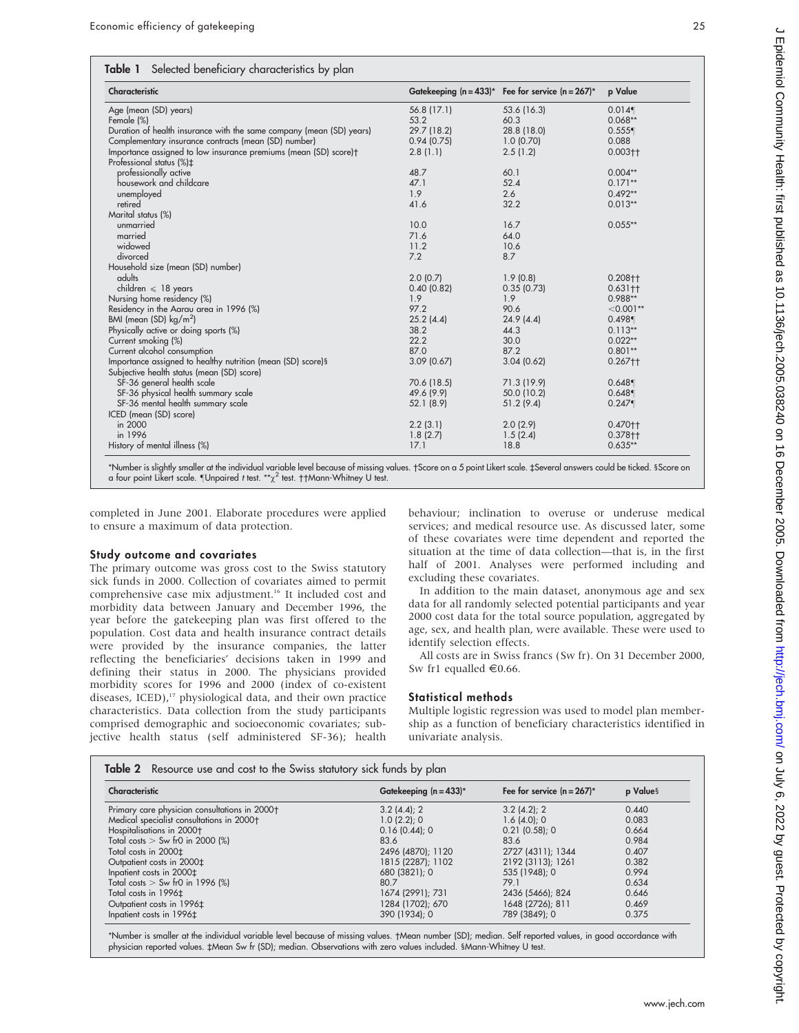# Table 1 Selected beneficiary characteristics by plan

| Characteristic                                                       | Gatekeeping $(n=433)^*$ Fee for service $(n=267)^*$ |             | p Value     |  |
|----------------------------------------------------------------------|-----------------------------------------------------|-------------|-------------|--|
| Age (mean (SD) years)                                                | 56.8 (17.1)                                         | 53.6 (16.3) | 0.014       |  |
| Female (%)                                                           | 53.2                                                | 60.3        | $0.068**$   |  |
| Duration of health insurance with the same company (mean (SD) years) | 29.7 (18.2)                                         | 28.8 (18.0) | 0.555       |  |
| Complementary insurance contracts (mean (SD) number)                 | 0.94(0.75)                                          | 1.0(0.70)   | 0.088       |  |
| Importance assigned to low insurance premiums (mean (SD) score)+     | 2.8(1.1)                                            | 2.5(1.2)    | $0.003 +$   |  |
| Professional status (%)±                                             |                                                     |             |             |  |
| professionally active                                                | 48.7                                                | 60.1        | $0.004**$   |  |
| housework and childcare                                              | 47.1                                                | 52.4        | $0.171**$   |  |
| unemployed                                                           | 1.9                                                 | 2.6         | $0.492**$   |  |
| retired                                                              | 41.6                                                | 32.2        | $0.013**$   |  |
| Marital status (%)                                                   |                                                     |             |             |  |
| unmarried                                                            | 10.0                                                | 16.7        | $0.055**$   |  |
| married                                                              | 71.6                                                | 64.0        |             |  |
| widowed                                                              | 11.2                                                | 10.6        |             |  |
| divorced                                                             | 7.2                                                 | 8.7         |             |  |
| Household size (mean (SD) number)                                    |                                                     |             |             |  |
| adults                                                               | 2.0(0.7)                                            | 1.9(0.8)    | $0.208 +$   |  |
| children $\leqslant$ 18 years                                        | 0.40(0.82)                                          | 0.35(0.73)  | $0.631 +$   |  |
| Nursing home residency (%)                                           | 1.9                                                 | 1.9         | $0.988**$   |  |
| Residency in the Aarau area in 1996 (%)                              | 97.2                                                | 90.6        | $< 0.001**$ |  |
| BMI (mean (SD) $\text{kg/m}^2$ )                                     | 25.2(4.4)                                           | 24.9(4.4)   | 0.498       |  |
| Physically active or doing sports (%)                                | 38.2                                                | 44.3        | $0.113**$   |  |
| Current smoking (%)                                                  | 22.2                                                | 30.0        | $0.022**$   |  |
| Current alcohol consumption                                          | 87.0                                                | 87.2        | $0.801**$   |  |
| Importance assigned to healthy nutrition (mean (SD) score)§          | 3.09(0.67)                                          | 3.04(0.62)  | $0.267 +$   |  |
| Subjective health status (mean (SD) score)                           |                                                     |             |             |  |
| SF-36 general health scale                                           | 70.6 (18.5)                                         | 71.3 (19.9) | 0.648       |  |
| SF-36 physical health summary scale                                  | 49.6 (9.9)                                          | 50.0 (10.2) | 0.648       |  |
| SF-36 mental health summary scale                                    | 52.1 (8.9)                                          | 51.2(9.4)   | 0.247       |  |
| ICED (mean (SD) score)                                               |                                                     |             |             |  |
| in 2000                                                              | 2.2(3.1)                                            | 2.0(2.9)    | $0.470 +$   |  |
| in 1996                                                              | 1.8(2.7)                                            | 1.5(2.4)    | $0.378 +$   |  |
| History of mental illness (%)                                        | 17.1                                                | 18.8        | $0.635**$   |  |

a four point Likert scale. ¶Unpaired t test. \*\* $\chi^2$  test. ††Mann-Whitney U test.

completed in June 2001. Elaborate procedures were applied to ensure a maximum of data protection.

### Study outcome and covariates

The primary outcome was gross cost to the Swiss statutory sick funds in 2000. Collection of covariates aimed to permit comprehensive case mix adjustment.<sup>16</sup> It included cost and morbidity data between January and December 1996, the year before the gatekeeping plan was first offered to the population. Cost data and health insurance contract details were provided by the insurance companies, the latter reflecting the beneficiaries' decisions taken in 1999 and defining their status in 2000. The physicians provided morbidity scores for 1996 and 2000 (index of co-existent diseases, ICED),<sup>17</sup> physiological data, and their own practice characteristics. Data collection from the study participants comprised demographic and socioeconomic covariates; subjective health status (self administered SF-36); health behaviour; inclination to overuse or underuse medical services; and medical resource use. As discussed later, some of these covariates were time dependent and reported the situation at the time of data collection—that is, in the first half of 2001. Analyses were performed including and excluding these covariates.

In addition to the main dataset, anonymous age and sex data for all randomly selected potential participants and year 2000 cost data for the total source population, aggregated by age, sex, and health plan, were available. These were used to identify selection effects.

All costs are in Swiss francs (Sw fr). On 31 December 2000, Sw fr1 equalled  $\in$ 0.66.

### Statistical methods

Multiple logistic regression was used to model plan membership as a function of beneficiary characteristics identified in univariate analysis.

| Characteristic                                | Gatekeeping $(n = 433)^*$ | Fee for service $(n = 267)^*$ | p Values |
|-----------------------------------------------|---------------------------|-------------------------------|----------|
| Primary care physician consultations in 2000† | $3.2(4.4):$ 2             | 3.2(4.2):2                    | 0.440    |
| Medical specialist consultations in 2000†     | 1.0(2.2):0                | 1.6(4.0):0                    | 0.083    |
| Hospitalisations in 2000+                     | 0.16(0.44):0              | $0.21$ (0.58); 0              | 0.664    |
| Total costs $>$ Sw fr0 in 2000 (%)            | 83.6                      | 83.6                          | 0.984    |
| Total costs in 2000±                          | 2496 (4870); 1120         | 2727 (4311); 1344             | 0.407    |
| Outpatient costs in 2000‡                     | 1815 (2287); 1102         | 2192 (3113); 1261             | 0.382    |
| Inpatient costs in 2000‡                      | 680 (3821): 0             | 535 (1948): 0                 | 0.994    |
| Total costs $>$ Sw fr0 in 1996 (%)            | 80.7                      | 79.1                          | 0.634    |
| Total costs in 1996‡                          | 1674 (2991); 731          | 2436 (5466); 824              | 0.646    |
| Outpatient costs in 1996‡                     | 1284 (1702); 670          | 1648 (2726); 811              | 0.469    |
| Inpatient costs in 1996‡                      | 390 (1934): 0             | 789 (3849): 0                 | 0.375    |

\*Number is smaller at the individual variable level because of missing values. †Mean number (SD); median. Self reported values, in good accordance with physician reported values.  $\pm$ Mean Sw fr (SD); median. Observations with zero values included. §Mann-Whitney U test.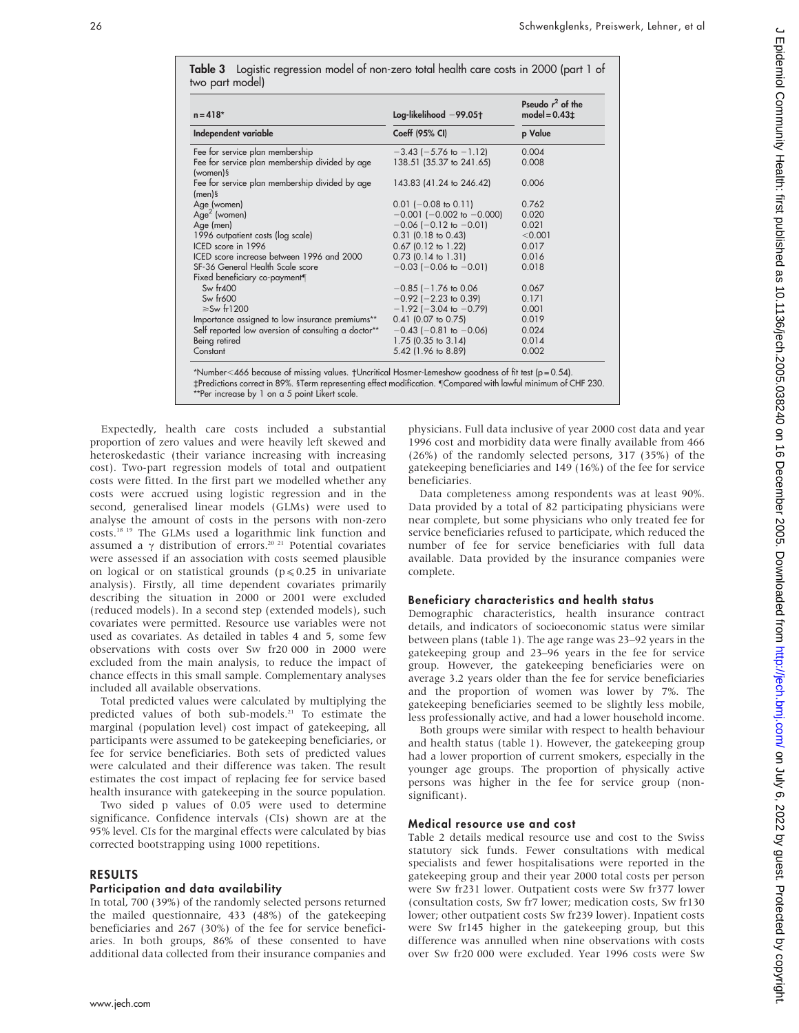| $n = 418*$                                                        | $Log-likelihood - 99.05†$         | Pseudo $r^2$ of the<br>$model = 0.43+$<br>p Value |  |
|-------------------------------------------------------------------|-----------------------------------|---------------------------------------------------|--|
| Independent variable                                              | Coeff (95% CI)                    |                                                   |  |
| Fee for service plan membership                                   | $-3.43$ ( $-5.76$ to $-1.12$ )    | 0.004                                             |  |
| Fee for service plan membership divided by age<br>(women)§        | 138.51 (35.37 to 241.65)          | 0.008                                             |  |
| Fee for service plan membership divided by age<br>$(men)$ §       | 143.83 (41.24 to 246.42)          | 0.006                                             |  |
| Age (women)                                                       | $0.01$ (-0.08 to 0.11)            | 0.762                                             |  |
| $Age2$ (women)                                                    | $-0.001$ ( $-0.002$ to $-0.000$ ) | 0.020                                             |  |
| Age (men)                                                         | $-0.06$ ( $-0.12$ to $-0.01$ )    | 0.021                                             |  |
| 1996 outpatient costs (log scale)                                 | $0.31$ (0.18 to 0.43)             | < 0.001                                           |  |
| ICED score in 1996                                                | $0.67$ (0.12 to 1.22)             | 0.017                                             |  |
| ICED score increase between 1996 and 2000                         | $0.73$ (0.14 to 1.31)             | 0.016                                             |  |
| SF-36 General Health Scale score<br>Fixed beneficiary co-payment¶ | $-0.03$ ( $-0.06$ to $-0.01$ )    | 0.018                                             |  |
| Sw $fr400$                                                        | $-0.85$ ( $-1.76$ to 0.06         | 0.067                                             |  |
| $Swf_{r600}$                                                      | $-0.92$ ( $-2.23$ to 0.39)        | 0.171                                             |  |
| $\geq$ Sw fr1200                                                  | $-1.92$ ( $-3.04$ to $-0.79$ )    | 0.001                                             |  |
| Importance assigned to low insurance premiums**                   | $0.41$ (0.07 to 0.75)             | 0.019                                             |  |
| Self reported low aversion of consulting a doctor**               | $-0.43$ ( $-0.81$ to $-0.06$ )    | 0.024                                             |  |
| Being retired                                                     | $1.75$ (0.35 to 3.14)             | 0.014                                             |  |
| Constant                                                          | 5.42 (1.96 to 8.89)               | 0.002                                             |  |

Table 3 Logistic regression model of non-zero total health care costs in 2000 (part 1 of two part model)

\*Number<466 because of missing values. †Uncritical Hosmer-Lemeshow goodness of fit test (p=0.54). `Predictions correct in 89%. 1Term representing effect modification. Compared with lawful minimum of CHF 230. \*\*Per increase by 1 on a 5 point Likert scale.

Expectedly, health care costs included a substantial proportion of zero values and were heavily left skewed and heteroskedastic (their variance increasing with increasing cost). Two-part regression models of total and outpatient costs were fitted. In the first part we modelled whether any costs were accrued using logistic regression and in the second, generalised linear models (GLMs) were used to analyse the amount of costs in the persons with non-zero costs.18 19 The GLMs used a logarithmic link function and assumed a  $\gamma$  distribution of errors.<sup>20 21</sup> Potential covariates were assessed if an association with costs seemed plausible on logical or on statistical grounds ( $p \le 0.25$  in univariate analysis). Firstly, all time dependent covariates primarily describing the situation in 2000 or 2001 were excluded (reduced models). In a second step (extended models), such covariates were permitted. Resource use variables were not used as covariates. As detailed in tables 4 and 5, some few observations with costs over Sw fr20 000 in 2000 were excluded from the main analysis, to reduce the impact of chance effects in this small sample. Complementary analyses included all available observations.

Total predicted values were calculated by multiplying the predicted values of both sub-models.<sup>21</sup> To estimate the marginal (population level) cost impact of gatekeeping, all participants were assumed to be gatekeeping beneficiaries, or fee for service beneficiaries. Both sets of predicted values were calculated and their difference was taken. The result estimates the cost impact of replacing fee for service based health insurance with gatekeeping in the source population.

Two sided p values of 0.05 were used to determine significance. Confidence intervals (CIs) shown are at the 95% level. CIs for the marginal effects were calculated by bias corrected bootstrapping using 1000 repetitions.

# RESULTS

# Participation and data availability

In total, 700 (39%) of the randomly selected persons returned the mailed questionnaire, 433 (48%) of the gatekeeping beneficiaries and 267 (30%) of the fee for service beneficiaries. In both groups, 86% of these consented to have additional data collected from their insurance companies and physicians. Full data inclusive of year 2000 cost data and year 1996 cost and morbidity data were finally available from 466 (26%) of the randomly selected persons, 317 (35%) of the gatekeeping beneficiaries and 149 (16%) of the fee for service beneficiaries.

Data completeness among respondents was at least 90%. Data provided by a total of 82 participating physicians were near complete, but some physicians who only treated fee for service beneficiaries refused to participate, which reduced the number of fee for service beneficiaries with full data available. Data provided by the insurance companies were complete.

# Beneficiary characteristics and health status

Demographic characteristics, health insurance contract details, and indicators of socioeconomic status were similar between plans (table 1). The age range was 23–92 years in the gatekeeping group and 23–96 years in the fee for service group. However, the gatekeeping beneficiaries were on average 3.2 years older than the fee for service beneficiaries and the proportion of women was lower by 7%. The gatekeeping beneficiaries seemed to be slightly less mobile, less professionally active, and had a lower household income.

Both groups were similar with respect to health behaviour and health status (table 1). However, the gatekeeping group had a lower proportion of current smokers, especially in the younger age groups. The proportion of physically active persons was higher in the fee for service group (nonsignificant).

#### Medical resource use and cost

Table 2 details medical resource use and cost to the Swiss statutory sick funds. Fewer consultations with medical specialists and fewer hospitalisations were reported in the gatekeeping group and their year 2000 total costs per person were Sw fr231 lower. Outpatient costs were Sw fr377 lower (consultation costs, Sw fr7 lower; medication costs, Sw fr130 lower; other outpatient costs Sw fr239 lower). Inpatient costs were Sw fr145 higher in the gatekeeping group, but this difference was annulled when nine observations with costs over Sw fr20 000 were excluded. Year 1996 costs were Sw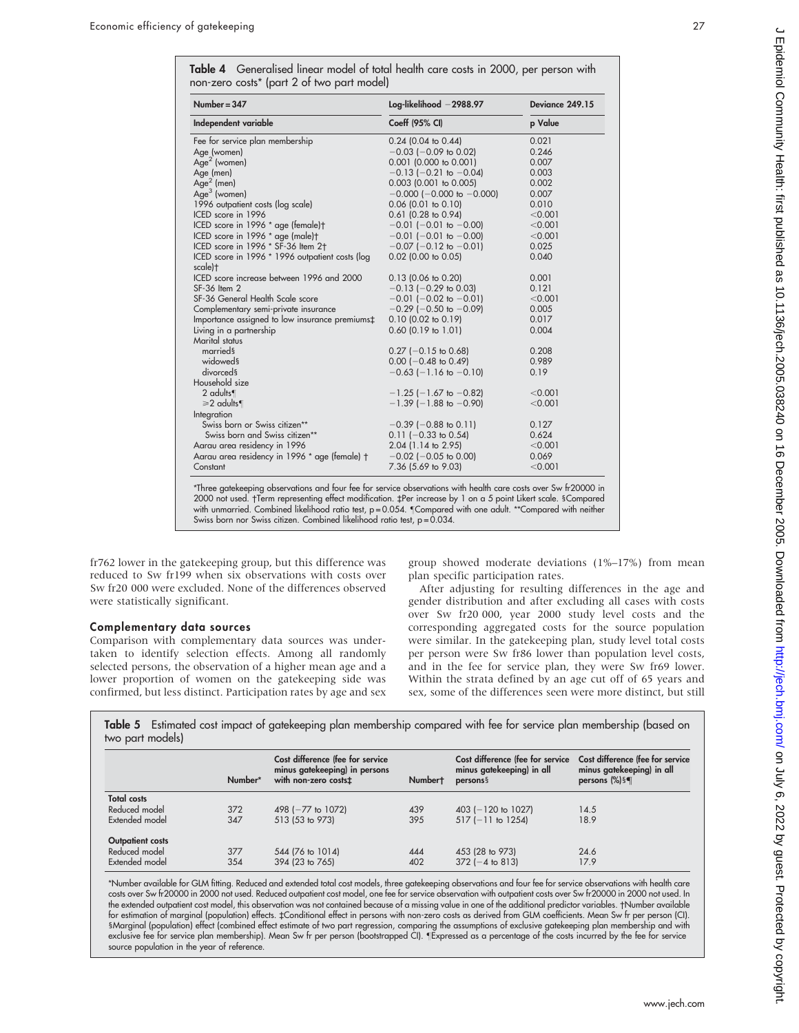Table 4 Generalised linear model of total health care costs in 2000, per person with non-zero costs\* (part 2 of two part model)

| Number = $347$                                                                                                                                                                                                                                                                                              | Log-likelihood $-2988.97$         | Deviance 249.15 |  |
|-------------------------------------------------------------------------------------------------------------------------------------------------------------------------------------------------------------------------------------------------------------------------------------------------------------|-----------------------------------|-----------------|--|
| Independent variable                                                                                                                                                                                                                                                                                        | Coeff (95% CI)                    | p Value         |  |
| Fee for service plan membership                                                                                                                                                                                                                                                                             | $0.24$ (0.04 to 0.44)             | 0.021           |  |
| Age (women)                                                                                                                                                                                                                                                                                                 | $-0.03$ ( $-0.09$ to 0.02)        | 0.246           |  |
| $Age2$ (women)                                                                                                                                                                                                                                                                                              | $0.001$ (0.000 to 0.001)          | 0.007           |  |
| Age (men)                                                                                                                                                                                                                                                                                                   | $-0.13$ ( $-0.21$ to $-0.04$ )    | 0.003           |  |
| Age <sup>2</sup> (men)                                                                                                                                                                                                                                                                                      | $0.003$ (0.001 to 0.005)          | 0.002           |  |
| Age <sup>3</sup> (women)                                                                                                                                                                                                                                                                                    | $-0.000$ ( $-0.000$ to $-0.000$ ) | 0.007           |  |
| 1996 outpatient costs (log scale)                                                                                                                                                                                                                                                                           | $0.06$ (0.01 to 0.10)             | 0.010           |  |
| ICED score in 1996                                                                                                                                                                                                                                                                                          | $0.61$ (0.28 to 0.94)             | < 0.001         |  |
| ICED score in 1996 * age (female)+                                                                                                                                                                                                                                                                          | $-0.01$ ( $-0.01$ to $-0.00$ )    | < 0.001         |  |
| ICED score in 1996 * age (male)+                                                                                                                                                                                                                                                                            | $-0.01$ ( $-0.01$ to $-0.00$ )    | < 0.001         |  |
| ICED score in 1996 * SF-36 Item 2+                                                                                                                                                                                                                                                                          | $-0.07$ ( $-0.12$ to $-0.01$ )    | 0.025           |  |
| ICED score in 1996 * 1996 outpatient costs (log<br>scale) <sup>+</sup>                                                                                                                                                                                                                                      | 0.02 (0.00 to 0.05)               | 0.040           |  |
| ICED score increase between 1996 and 2000                                                                                                                                                                                                                                                                   | $0.13$ (0.06 to 0.20)             | 0.001           |  |
| SF-36 Item 2                                                                                                                                                                                                                                                                                                | $-0.13$ ( $-0.29$ to 0.03)        | 0.121           |  |
| SF-36 General Health Scale score                                                                                                                                                                                                                                                                            | $-0.01$ ( $-0.02$ to $-0.01$ )    | < 0.001         |  |
| Complementary semi-private insurance                                                                                                                                                                                                                                                                        | $-0.29$ ( $-0.50$ to $-0.09$ )    | 0.005           |  |
| Importance assigned to low insurance premiums‡                                                                                                                                                                                                                                                              | $0.10$ (0.02 to 0.19)             | 0.017           |  |
| Living in a partnership                                                                                                                                                                                                                                                                                     | $0.60$ (0.19 to 1.01)             | 0.004           |  |
| Marital status                                                                                                                                                                                                                                                                                              |                                   |                 |  |
| married§                                                                                                                                                                                                                                                                                                    | $0.27$ (-0.15 to 0.68)            | 0.208           |  |
| widowed§                                                                                                                                                                                                                                                                                                    | $0.00$ (-0.48 to 0.49)            | 0.989           |  |
| divorced <sup>§</sup>                                                                                                                                                                                                                                                                                       | $-0.63$ ( $-1.16$ to $-0.10$ )    | 0.19            |  |
| Household size                                                                                                                                                                                                                                                                                              |                                   |                 |  |
| 2 adults¶                                                                                                                                                                                                                                                                                                   | $-1.25$ ( $-1.67$ to $-0.82$ )    | < 0.001         |  |
| ≥2 adults¶                                                                                                                                                                                                                                                                                                  | $-1.39$ ( $-1.88$ to $-0.90$ )    | < 0.001         |  |
| Integration                                                                                                                                                                                                                                                                                                 |                                   |                 |  |
| Swiss born or Swiss citizen**                                                                                                                                                                                                                                                                               | $-0.39$ ( $-0.88$ to 0.11)        | 0.127           |  |
| Swiss born and Swiss citizen**                                                                                                                                                                                                                                                                              | $0.11$ (-0.33 to 0.54)            | 0.624           |  |
| Aarau area residency in 1996                                                                                                                                                                                                                                                                                | 2.04 (1.14 to 2.95)               | < 0.001         |  |
| Aarau area residency in 1996 * age (female) †                                                                                                                                                                                                                                                               | $-0.02$ ( $-0.05$ to 0.00)        | 0.069           |  |
| Constant                                                                                                                                                                                                                                                                                                    | 7.36 (5.69 to 9.03)               | < 0.001         |  |
| *Three gatekeeping observations and four fee for service observations with health care costs over Sw fr20000 in                                                                                                                                                                                             |                                   |                 |  |
| 2000 not used. †Term representing effect modification. ‡Per increase by 1 on a 5 point Likert scale. §Compared<br>with unmarried. Combined likelihood ratio test, $p = 0.054$ . "Compared with one adult. **Compared with neither<br>Swiss born nor Swiss citizen. Combined likelihood ratio test. p=0.034. |                                   |                 |  |

fr762 lower in the gatekeeping group, but this difference was reduced to Sw fr199 when six observations with costs over Sw fr20 000 were excluded. None of the differences observed were statistically significant.

# Complementary data sources

Comparison with complementary data sources was undertaken to identify selection effects. Among all randomly selected persons, the observation of a higher mean age and a lower proportion of women on the gatekeeping side was confirmed, but less distinct. Participation rates by age and sex

group showed moderate deviations (1%–17%) from mean plan specific participation rates.

After adjusting for resulting differences in the age and gender distribution and after excluding all cases with costs over Sw fr20 000, year 2000 study level costs and the corresponding aggregated costs for the source population were similar. In the gatekeeping plan, study level total costs per person were Sw fr86 lower than population level costs, and in the fee for service plan, they were Sw fr69 lower. Within the strata defined by an age cut off of 65 years and sex, some of the differences seen were more distinct, but still

Table 5 Estimated cost impact of gatekeeping plan membership compared with fee for service plan membership (based on two part models)

|                                                            | Number*    | Cost difference (fee for service<br>minus gatekeeping) in persons<br>with non-zero costs‡ | Numbert    | Cost difference (fee for service<br>minus gatekeeping) in all<br>persons§ | Cost difference (fee for service<br>minus gatekeeping) in all<br>persons $(\%)\$ |
|------------------------------------------------------------|------------|-------------------------------------------------------------------------------------------|------------|---------------------------------------------------------------------------|----------------------------------------------------------------------------------|
| <b>Total costs</b><br>Reduced model<br>Extended model      | 372<br>347 | 498 $(-77$ to 1072)<br>513 (53 to 973)                                                    | 439<br>395 | $403$ (-120 to 1027)<br>$517$ (-11 to 1254)                               | 14.5<br>18.9                                                                     |
| <b>Outpatient costs</b><br>Reduced model<br>Extended model | 377<br>354 | 544 (76 to 1014)<br>394 (23 to 765)                                                       | 444<br>402 | 453 (28 to 973)<br>$372$ (-4 to 813)                                      | 24.6<br>17.9                                                                     |

\*Number available for GLM fitting. Reduced and extended total cost models, three gatekeeping observations and four fee for service observations with health care costs over Sw fr20000 in 2000 not used. Reduced outpatient cost model, one fee for service observation with outpatient costs over Sw fr20000 in 2000 not used. In the extended outpatient cost model, this observation was not contained because of a missing value in one of the additional predictor variables. †Number available for estimation of marginal (population) effects. ‡Conditional effect in persons with non-zero costs as derived from GLM coefficients. Mean Sw fr per person (CI). §Marginal (population) effect (combined effect estimate of two part regression, comparing the assumptions of exclusive gatekeeping plan membership and with exclusive fee for service plan membership). Mean Sw fr per person (bootstrapped CI). Expressed as a percentage of the costs incurred by the fee for service source population in the year of reference.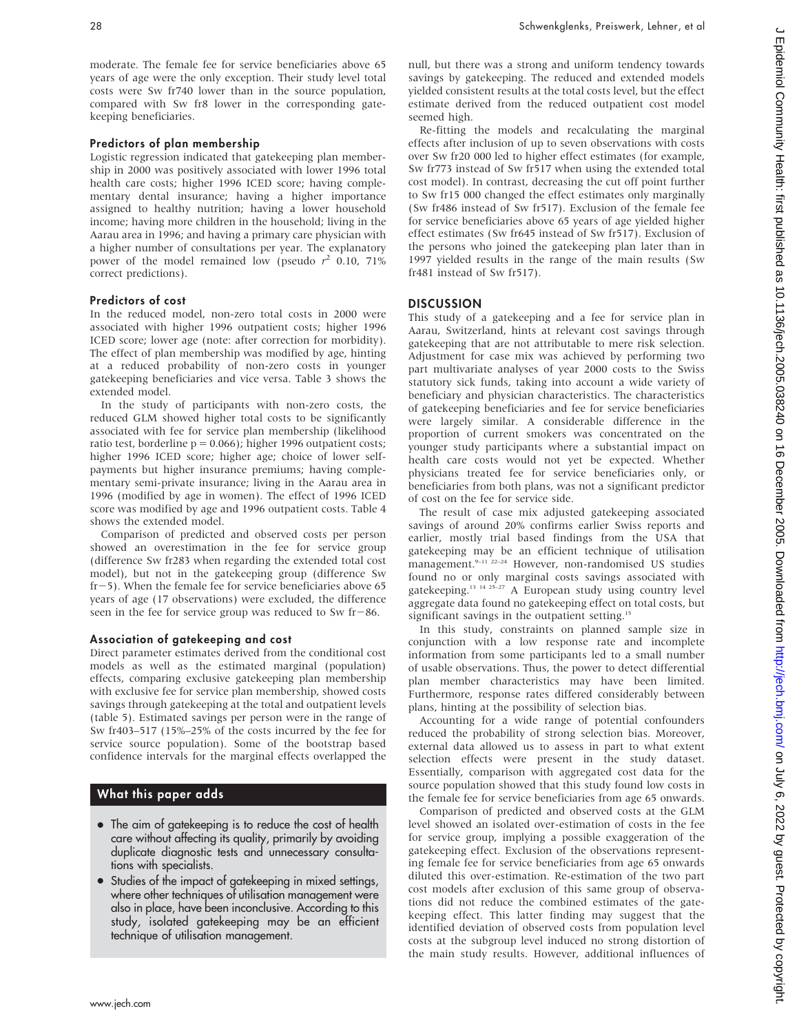moderate. The female fee for service beneficiaries above 65 years of age were the only exception. Their study level total costs were Sw fr740 lower than in the source population, compared with Sw fr8 lower in the corresponding gatekeeping beneficiaries.

# Predictors of plan membership

Logistic regression indicated that gatekeeping plan membership in 2000 was positively associated with lower 1996 total health care costs; higher 1996 ICED score; having complementary dental insurance; having a higher importance assigned to healthy nutrition; having a lower household income; having more children in the household; living in the Aarau area in 1996; and having a primary care physician with a higher number of consultations per year. The explanatory power of the model remained low (pseudo  $r^2$  0.10, 71% correct predictions).

# Predictors of cost

In the reduced model, non-zero total costs in 2000 were associated with higher 1996 outpatient costs; higher 1996 ICED score; lower age (note: after correction for morbidity). The effect of plan membership was modified by age, hinting at a reduced probability of non-zero costs in younger gatekeeping beneficiaries and vice versa. Table 3 shows the extended model.

In the study of participants with non-zero costs, the reduced GLM showed higher total costs to be significantly associated with fee for service plan membership (likelihood ratio test, borderline  $p = 0.066$ ; higher 1996 outpatient costs; higher 1996 ICED score; higher age; choice of lower selfpayments but higher insurance premiums; having complementary semi-private insurance; living in the Aarau area in 1996 (modified by age in women). The effect of 1996 ICED score was modified by age and 1996 outpatient costs. Table 4 shows the extended model.

Comparison of predicted and observed costs per person showed an overestimation in the fee for service group (difference Sw fr283 when regarding the extended total cost model), but not in the gatekeeping group (difference Sw  $fr-5$ ). When the female fee for service beneficiaries above 65 years of age (17 observations) were excluded, the difference seen in the fee for service group was reduced to Sw  $fr-86$ .

# Association of gatekeeping and cost

Direct parameter estimates derived from the conditional cost models as well as the estimated marginal (population) effects, comparing exclusive gatekeeping plan membership with exclusive fee for service plan membership, showed costs savings through gatekeeping at the total and outpatient levels (table 5). Estimated savings per person were in the range of Sw fr403–517 (15%–25% of the costs incurred by the fee for service source population). Some of the bootstrap based confidence intervals for the marginal effects overlapped the

# What this paper adds

- The aim of gatekeeping is to reduce the cost of health care without affecting its quality, primarily by avoiding duplicate diagnostic tests and unnecessary consultations with specialists.
- Studies of the impact of gatekeeping in mixed settings, where other techniques of utilisation management were also in place, have been inconclusive. According to this study, isolated gatekeeping may be an efficient technique of utilisation management.

null, but there was a strong and uniform tendency towards savings by gatekeeping. The reduced and extended models yielded consistent results at the total costs level, but the effect estimate derived from the reduced outpatient cost model seemed high.

Re-fitting the models and recalculating the marginal effects after inclusion of up to seven observations with costs over Sw fr20 000 led to higher effect estimates (for example, Sw fr773 instead of Sw fr517 when using the extended total cost model). In contrast, decreasing the cut off point further to Sw fr15 000 changed the effect estimates only marginally (Sw fr486 instead of Sw fr517). Exclusion of the female fee for service beneficiaries above 65 years of age yielded higher effect estimates (Sw fr645 instead of Sw fr517). Exclusion of the persons who joined the gatekeeping plan later than in 1997 yielded results in the range of the main results (Sw fr481 instead of Sw fr517).

# **DISCUSSION**

This study of a gatekeeping and a fee for service plan in Aarau, Switzerland, hints at relevant cost savings through gatekeeping that are not attributable to mere risk selection. Adjustment for case mix was achieved by performing two part multivariate analyses of year 2000 costs to the Swiss statutory sick funds, taking into account a wide variety of beneficiary and physician characteristics. The characteristics of gatekeeping beneficiaries and fee for service beneficiaries were largely similar. A considerable difference in the proportion of current smokers was concentrated on the younger study participants where a substantial impact on health care costs would not yet be expected. Whether physicians treated fee for service beneficiaries only, or beneficiaries from both plans, was not a significant predictor of cost on the fee for service side.

The result of case mix adjusted gatekeeping associated savings of around 20% confirms earlier Swiss reports and earlier, mostly trial based findings from the USA that gatekeeping may be an efficient technique of utilisation management.<sup>9-11 22-24</sup> However, non-randomised US studies found no or only marginal costs savings associated with gatekeeping.<sup>13 14 25-27</sup> A European study using country level aggregate data found no gatekeeping effect on total costs, but significant savings in the outpatient setting.<sup>15</sup>

In this study, constraints on planned sample size in conjunction with a low response rate and incomplete information from some participants led to a small number of usable observations. Thus, the power to detect differential plan member characteristics may have been limited. Furthermore, response rates differed considerably between plans, hinting at the possibility of selection bias.

Accounting for a wide range of potential confounders reduced the probability of strong selection bias. Moreover, external data allowed us to assess in part to what extent selection effects were present in the study dataset. Essentially, comparison with aggregated cost data for the source population showed that this study found low costs in the female fee for service beneficiaries from age 65 onwards.

Comparison of predicted and observed costs at the GLM level showed an isolated over-estimation of costs in the fee for service group, implying a possible exaggeration of the gatekeeping effect. Exclusion of the observations representing female fee for service beneficiaries from age 65 onwards diluted this over-estimation. Re-estimation of the two part cost models after exclusion of this same group of observations did not reduce the combined estimates of the gatekeeping effect. This latter finding may suggest that the identified deviation of observed costs from population level costs at the subgroup level induced no strong distortion of the main study results. However, additional influences of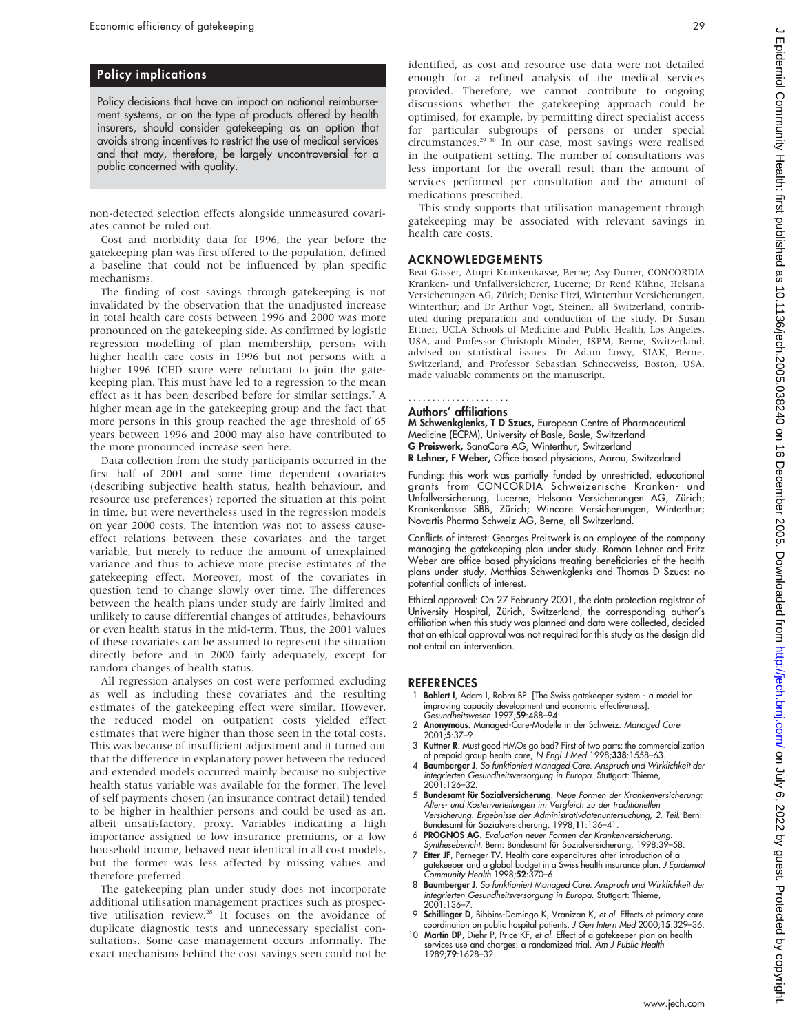# Policy implications

Policy decisions that have an impact on national reimbursement systems, or on the type of products offered by health insurers, should consider gatekeeping as an option that avoids strong incentives to restrict the use of medical services and that may, therefore, be largely uncontroversial for a public concerned with quality.

non-detected selection effects alongside unmeasured covariates cannot be ruled out.

Cost and morbidity data for 1996, the year before the gatekeeping plan was first offered to the population, defined a baseline that could not be influenced by plan specific mechanisms.

The finding of cost savings through gatekeeping is not invalidated by the observation that the unadjusted increase in total health care costs between 1996 and 2000 was more pronounced on the gatekeeping side. As confirmed by logistic regression modelling of plan membership, persons with higher health care costs in 1996 but not persons with a higher 1996 ICED score were reluctant to join the gatekeeping plan. This must have led to a regression to the mean effect as it has been described before for similar settings.<sup>7</sup> A higher mean age in the gatekeeping group and the fact that more persons in this group reached the age threshold of 65 years between 1996 and 2000 may also have contributed to the more pronounced increase seen here.

Data collection from the study participants occurred in the first half of 2001 and some time dependent covariates (describing subjective health status, health behaviour, and resource use preferences) reported the situation at this point in time, but were nevertheless used in the regression models on year 2000 costs. The intention was not to assess causeeffect relations between these covariates and the target variable, but merely to reduce the amount of unexplained variance and thus to achieve more precise estimates of the gatekeeping effect. Moreover, most of the covariates in question tend to change slowly over time. The differences between the health plans under study are fairly limited and unlikely to cause differential changes of attitudes, behaviours or even health status in the mid-term. Thus, the 2001 values of these covariates can be assumed to represent the situation directly before and in 2000 fairly adequately, except for random changes of health status.

All regression analyses on cost were performed excluding as well as including these covariates and the resulting estimates of the gatekeeping effect were similar. However, the reduced model on outpatient costs yielded effect estimates that were higher than those seen in the total costs. This was because of insufficient adjustment and it turned out that the difference in explanatory power between the reduced and extended models occurred mainly because no subjective health status variable was available for the former. The level of self payments chosen (an insurance contract detail) tended to be higher in healthier persons and could be used as an, albeit unsatisfactory, proxy. Variables indicating a high importance assigned to low insurance premiums, or a low household income, behaved near identical in all cost models, but the former was less affected by missing values and therefore preferred.

The gatekeeping plan under study does not incorporate additional utilisation management practices such as prospective utilisation review.<sup>28</sup> It focuses on the avoidance of duplicate diagnostic tests and unnecessary specialist consultations. Some case management occurs informally. The exact mechanisms behind the cost savings seen could not be

identified, as cost and resource use data were not detailed enough for a refined analysis of the medical services provided. Therefore, we cannot contribute to ongoing discussions whether the gatekeeping approach could be optimised, for example, by permitting direct specialist access for particular subgroups of persons or under special circumstances.29 30 In our case, most savings were realised in the outpatient setting. The number of consultations was less important for the overall result than the amount of services performed per consultation and the amount of medications prescribed.

This study supports that utilisation management through gatekeeping may be associated with relevant savings in health care costs.

# ACKNOWLEDGEMENTS

Beat Gasser, Atupri Krankenkasse, Berne; Asy Durrer, CONCORDIA Kranken- und Unfallversicherer, Lucerne; Dr René Kühne, Helsana Versicherungen AG, Zürich; Denise Fitzi, Winterthur Versicherungen, Winterthur; and Dr Arthur Vogt, Steinen, all Switzerland, contributed during preparation and conduction of the study. Dr Susan Ettner, UCLA Schools of Medicine and Public Health, Los Angeles, USA, and Professor Christoph Minder, ISPM, Berne, Switzerland, advised on statistical issues. Dr Adam Lowy, SIAK, Berne, Switzerland, and Professor Sebastian Schneeweiss, Boston, USA, made valuable comments on the manuscript.

#### Authors' affiliations .....................

M Schwenkglenks, T D Szucs, European Centre of Pharmaceutical Medicine (ECPM), University of Basle, Basle, Switzerland G Preiswerk, SanaCare AG, Winterthur, Switzerland R Lehner, F Weber, Office based physicians, Aarau, Switzerland

Funding: this work was partially funded by unrestricted, educational grants from CONCORDIA Schweizerische Kranken- und Unfallversicherung, Lucerne; Helsana Versicherungen AG, Zürich; Krankenkasse SBB, Zürich; Wincare Versicherungen, Winterthur; Novartis Pharma Schweiz AG, Berne, all Switzerland.

Conflicts of interest: Georges Preiswerk is an employee of the company managing the gatekeeping plan under study. Roman Lehner and Fritz Weber are office based physicians treating beneficiaries of the health plans under study. Matthias Schwenkglenks and Thomas D Szucs: no potential conflicts of interest.

Ethical approval: On 27 February 2001, the data protection registrar of University Hospital, Zürich, Switzerland, the corresponding author's affiliation when this study was planned and data were collected, decided that an ethical approval was not required for this study as the design did not entail an intervention.

### REFERENCES

- 1 **Bohlert I**, Adam I, Robra BP. [The Swiss gatekeeper system a model for improving capacity development and economic effectiveness]. Gesundheitswesen 1997;59:488–94.
- 2 Anonymous. Managed-Care-Modelle in der Schweiz. Managed Care 2001;5:37–9.
- 3 Kuttner R. Must good HMOs go bad? First of two parts: the commercialization of prepaid group health care, N Engl J Med 1998;338:1558–63.
- 4 Baumberger J. So funktioniert Managed Care. Anspruch und Wirklichkeit der integrierten Gesundheitsversorgung in Europa. Stuttgart: Thieme, 2001:126–32.
- 5 **Bundesamt für Sozialversicherung**. Neue Formen der Krankenversicherung:<br>Alters- und Kostenverteilungen im Vergleich zu der traditionellen Versicherung. Ergebnisse der Administrativdatenuntersuchung, 2. Teil. Bern: Bundesamt für Sozialversicherung, 1998;11:136-41.
- 6 **PROGNOS AG**. Evaluation neuer Formen der Krankenversicherung.<br>Synthesebericht. Bern: Bundesamt für Sozialversicherung, 1998:39–58.
- 
- 7 Etter JF, Perneger TV. Health care expenditures after introduction of a gatekeeper and a global budget in a Swiss health insurance plan. J Epidemiol Community Health 1998;52:370–6.
- 8 Baumberger J. So funktioniert Managed Care. Anspruch und Wirklichkeit der integrierten Gesundheitsversorgung in Europa. Stuttgart: Thieme,  $2001 \cdot 136 - 7$
- 9 Schillinger D, Bibbins-Domingo K, Vranizan K, et al. Effects of primary care coordination on public hospital patients. J Gen Intern Med 2000;15:329–36.
- 10 Martin DP, Diehr P, Price KF, et al. Effect of a gatekeeper plan on health services use and charges: a randomized trial. Am J Public Health 1989;79:1628–32.